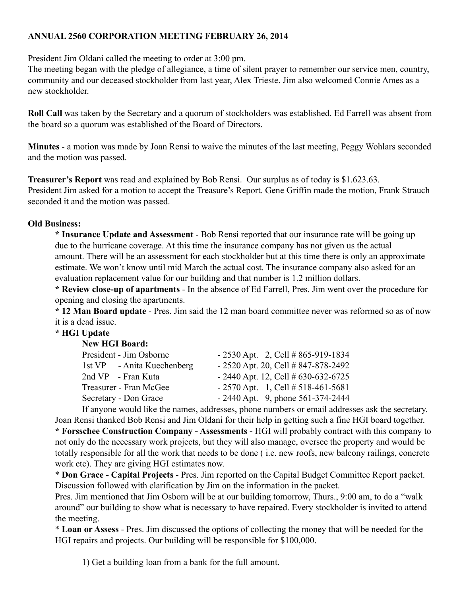## **ANNUAL 2560 CORPORATION MEETING FEBRUARY 26, 2014**

President Jim Oldani called the meeting to order at 3:00 pm.

The meeting began with the pledge of allegiance, a time of silent prayer to remember our service men, country, community and our deceased stockholder from last year, Alex Trieste. Jim also welcomed Connie Ames as a new stockholder.

**Roll Call** was taken by the Secretary and a quorum of stockholders was established. Ed Farrell was absent from the board so a quorum was established of the Board of Directors.

**Minutes** - a motion was made by Joan Rensi to waive the minutes of the last meeting, Peggy Wohlars seconded and the motion was passed.

**Treasurer's Report** was read and explained by Bob Rensi. Our surplus as of today is \$1.623.63. President Jim asked for a motion to accept the Treasure's Report. Gene Griffin made the motion, Frank Strauch seconded it and the motion was passed.

## **Old Business:**

**\* Insurance Update and Assessment** - Bob Rensi reported that our insurance rate will be going up due to the hurricane coverage. At this time the insurance company has not given us the actual amount. There will be an assessment for each stockholder but at this time there is only an approximate estimate. We won't know until mid March the actual cost. The insurance company also asked for an evaluation replacement value for our building and that number is 1.2 million dollars.

**\* Review close-up of apartments** - In the absence of Ed Farrell, Pres. Jim went over the procedure for opening and closing the apartments.

**\* 12 Man Board update** - Pres. Jim said the 12 man board committee never was reformed so as of now it is a dead issue.

## **\* HGI Update**

| President - Jim Osborne                                                                                                             | $-2530$ Apt. 2, Cell #865-919-1834   |
|-------------------------------------------------------------------------------------------------------------------------------------|--------------------------------------|
| 1st VP - Anita Kuechenberg                                                                                                          | $-2520$ Apt. 20, Cell # 847-878-2492 |
| 2nd VP - Fran Kuta                                                                                                                  | $-2440$ Apt. 12, Cell # 630-632-6725 |
| Treasurer - Fran McGee                                                                                                              | $-2570$ Apt. 1, Cell # 518-461-5681  |
| Secretary - Don Grace                                                                                                               | $-2440$ Apt. 9, phone 561-374-2444   |
| $\mathbf{r} \cdot \mathbf{r}$ and $\mathbf{r} \cdot \mathbf{r}$ and $\mathbf{r} \cdot \mathbf{r}$ and $\mathbf{r} \cdot \mathbf{r}$ |                                      |

If anyone would like the names, addresses, phone numbers or email addresses ask the secretary. Joan Rensi thanked Bob Rensi and Jim Oldani for their help in getting such a fine HGI board together. **\* Forsschee Construction Company - Assessments -** HGI will probably contract with this company to not only do the necessary work projects, but they will also manage, oversee the property and would be totally responsible for all the work that needs to be done ( i.e. new roofs, new balcony railings, concrete work etc). They are giving HGI estimates now.

\* **Don Grace - Capital Projects** - Pres. Jim reported on the Capital Budget Committee Report packet. Discussion followed with clarification by Jim on the information in the packet.

Pres. Jim mentioned that Jim Osborn will be at our building tomorrow, Thurs., 9:00 am, to do a "walk around" our building to show what is necessary to have repaired. Every stockholder is invited to attend the meeting.

\* **Loan or Assess** - Pres. Jim discussed the options of collecting the money that will be needed for the HGI repairs and projects. Our building will be responsible for \$100,000.

1) Get a building loan from a bank for the full amount.